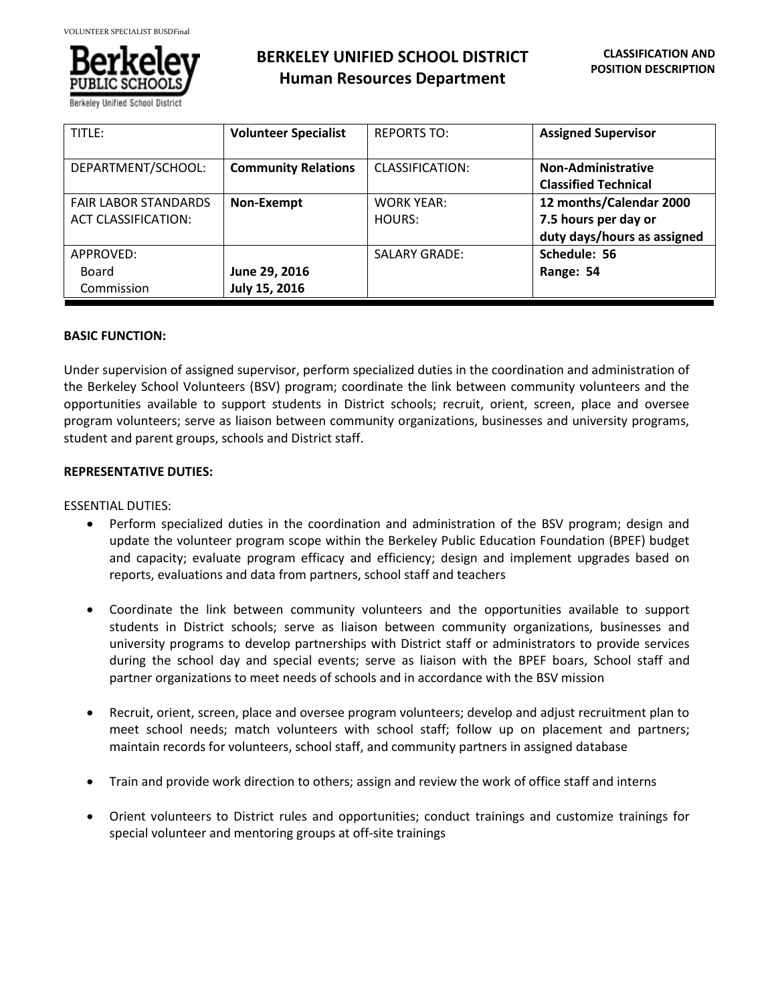

Berkeley Unified School

# **BERKELEY UNIFIED SCHOOL DISTRICT Human Resources Department**

| TITLE:                                                    | <b>Volunteer Specialist</b>    | <b>REPORTS TO:</b>          | <b>Assigned Supervisor</b>                                                     |
|-----------------------------------------------------------|--------------------------------|-----------------------------|--------------------------------------------------------------------------------|
| DEPARTMENT/SCHOOL:                                        | <b>Community Relations</b>     | CLASSIFICATION:             | Non-Administrative<br><b>Classified Technical</b>                              |
| <b>FAIR LABOR STANDARDS</b><br><b>ACT CLASSIFICATION:</b> | Non-Exempt                     | <b>WORK YEAR:</b><br>HOURS: | 12 months/Calendar 2000<br>7.5 hours per day or<br>duty days/hours as assigned |
| APPROVED:<br>Board<br>Commission                          | June 29, 2016<br>July 15, 2016 | <b>SALARY GRADE:</b>        | Schedule: 56<br>Range: 54                                                      |

#### **BASIC FUNCTION:**

Under supervision of assigned supervisor, perform specialized duties in the coordination and administration of the Berkeley School Volunteers (BSV) program; coordinate the link between community volunteers and the opportunities available to support students in District schools; recruit, orient, screen, place and oversee program volunteers; serve as liaison between community organizations, businesses and university programs, student and parent groups, schools and District staff.

#### **REPRESENTATIVE DUTIES:**

ESSENTIAL DUTIES:

- Perform specialized duties in the coordination and administration of the BSV program; design and update the volunteer program scope within the Berkeley Public Education Foundation (BPEF) budget and capacity; evaluate program efficacy and efficiency; design and implement upgrades based on reports, evaluations and data from partners, school staff and teachers
- Coordinate the link between community volunteers and the opportunities available to support students in District schools; serve as liaison between community organizations, businesses and university programs to develop partnerships with District staff or administrators to provide services during the school day and special events; serve as liaison with the BPEF boars, School staff and partner organizations to meet needs of schools and in accordance with the BSV mission
- Recruit, orient, screen, place and oversee program volunteers; develop and adjust recruitment plan to meet school needs; match volunteers with school staff; follow up on placement and partners; maintain records for volunteers, school staff, and community partners in assigned database
- Train and provide work direction to others; assign and review the work of office staff and interns
- Orient volunteers to District rules and opportunities; conduct trainings and customize trainings for special volunteer and mentoring groups at off-site trainings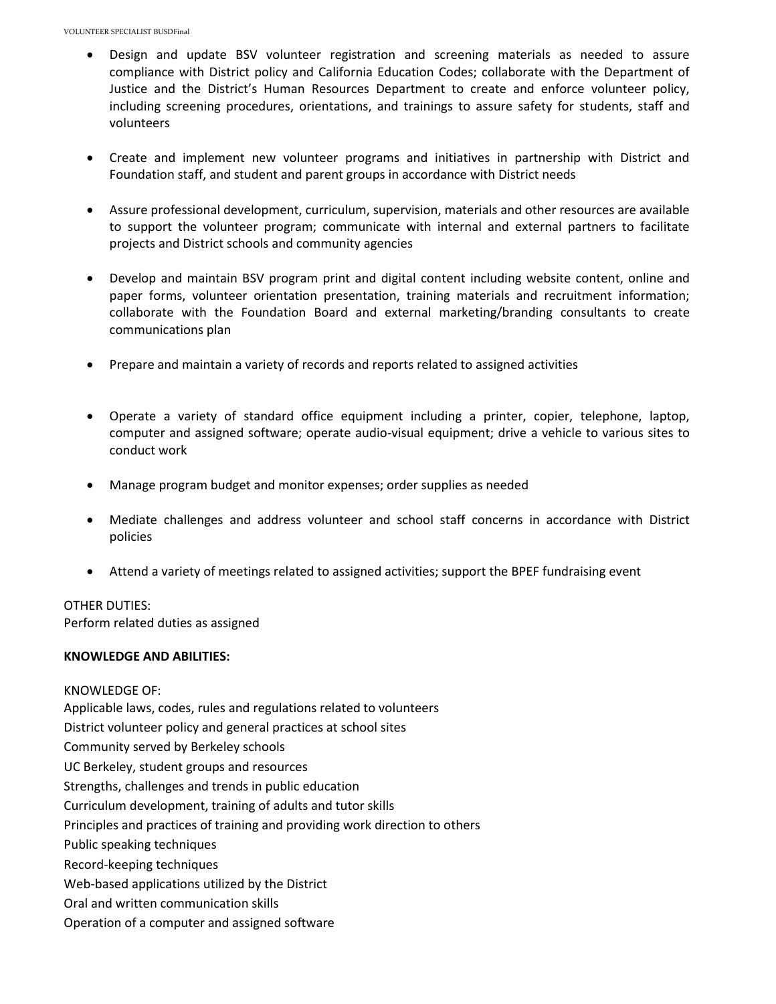- Design and update BSV volunteer registration and screening materials as needed to assure compliance with District policy and California Education Codes; collaborate with the Department of Justice and the District's Human Resources Department to create and enforce volunteer policy, including screening procedures, orientations, and trainings to assure safety for students, staff and volunteers
- Create and implement new volunteer programs and initiatives in partnership with District and Foundation staff, and student and parent groups in accordance with District needs
- Assure professional development, curriculum, supervision, materials and other resources are available to support the volunteer program; communicate with internal and external partners to facilitate projects and District schools and community agencies
- Develop and maintain BSV program print and digital content including website content, online and paper forms, volunteer orientation presentation, training materials and recruitment information; collaborate with the Foundation Board and external marketing/branding consultants to create communications plan
- Prepare and maintain a variety of records and reports related to assigned activities
- Operate a variety of standard office equipment including a printer, copier, telephone, laptop, computer and assigned software; operate audio-visual equipment; drive a vehicle to various sites to conduct work
- Manage program budget and monitor expenses; order supplies as needed
- Mediate challenges and address volunteer and school staff concerns in accordance with District policies
- Attend a variety of meetings related to assigned activities; support the BPEF fundraising event

## OTHER DUTIES: Perform related duties as assigned

#### **KNOWLEDGE AND ABILITIES:**

KNOWLEDGE OF: Applicable laws, codes, rules and regulations related to volunteers District volunteer policy and general practices at school sites Community served by Berkeley schools UC Berkeley, student groups and resources Strengths, challenges and trends in public education Curriculum development, training of adults and tutor skills Principles and practices of training and providing work direction to others Public speaking techniques Record-keeping techniques Web-based applications utilized by the District Oral and written communication skills Operation of a computer and assigned software